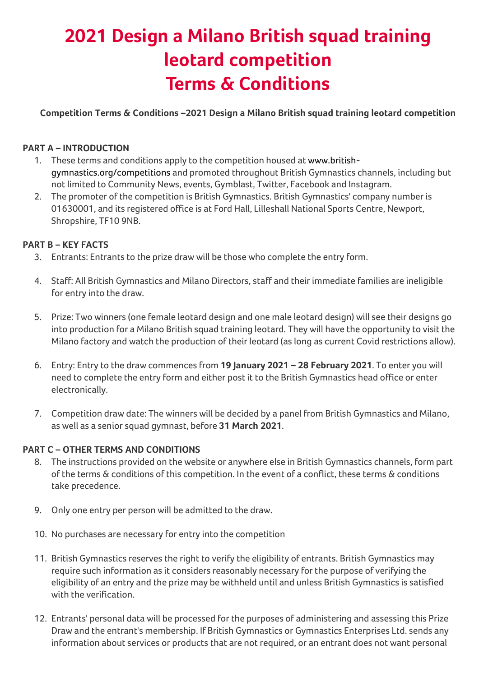## **2021 Design a Milano British squad training leotard competition Terms & Conditions**

**Competition Terms & Conditions –2021 Design a Milano British squad training leotard competition**

## **PART A – INTRODUCTION**

- 1. These terms and conditions apply to the competition housed at www.britishgymnastics.org/competitions and promoted throughout British Gymnastics channels, including but not limited to Community News, events, Gymblast, Twitter, Facebook and Instagram.
- 2. The promoter of the competition is British Gymnastics. British Gymnastics' company number is 01630001, and its registered office is at Ford Hall, Lilleshall National Sports Centre, Newport, Shropshire, TF10 9NB.

## **PART B – KEY FACTS**

- 3. Entrants: Entrants to the prize draw will be those who complete the entry form.
- 4. Staff: All British Gymnastics and Milano Directors, staff and their immediate families are ineligible for entry into the draw.
- 5. Prize: Two winners (one female leotard design and one male leotard design) will see their designs go into production for a Milano British squad training leotard. They will have the opportunity to visit the Milano factory and watch the production of their leotard (as long as current Covid restrictions allow).
- 6. Entry: Entry to the draw commences from **19 January 2021 – 28 February 2021**. To enter you will need to complete the entry form and either post it to the British Gymnastics head office or enter electronically.
- 7. Competition draw date: The winners will be decided by a panel from British Gymnastics and Milano, as well as a senior squad gymnast, before **31 March 2021**.

## **PART C – OTHER TERMS AND CONDITIONS**

- 8. The instructions provided on the website or anywhere else in British Gymnastics channels, form part of the terms & conditions of this competition. In the event of a conflict, these terms & conditions take precedence.
- 9. Only one entry per person will be admitted to the draw.
- 10. No purchases are necessary for entry into the competition
- 11. British Gymnastics reserves the right to verify the eligibility of entrants. British Gymnastics may require such information as it considers reasonably necessary for the purpose of verifying the eligibility of an entry and the prize may be withheld until and unless British Gymnastics is satisfied with the verification.
- 12. Entrants' personal data will be processed for the purposes of administering and assessing this Prize Draw and the entrant's membership. If British Gymnastics or Gymnastics Enterprises Ltd. sends any information about services or products that are not required, or an entrant does not want personal